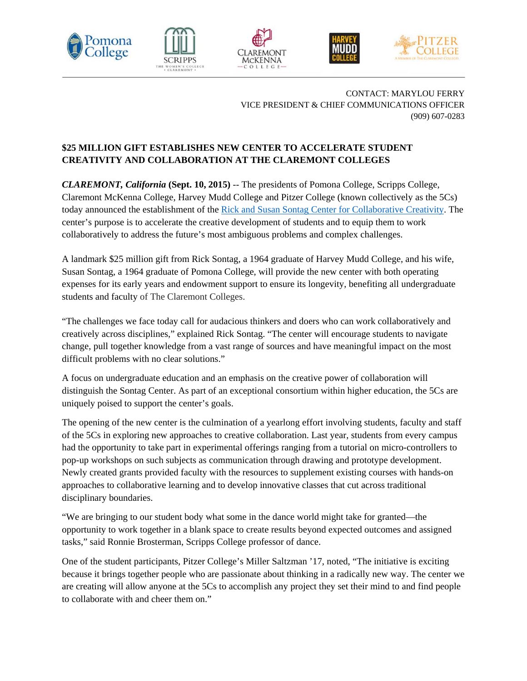









CONTACT: MARYLOU FERRY VICE PRESIDENT & CHIEF COMMUNICATIONS OFFICER (909) 607-0283

## **\$25 MILLION GIFT ESTABLISHES NEW CENTER TO ACCELERATE STUDENT CREATIVITY AND COLLABORATION AT THE CLAREMONT COLLEGES**

*CLAREMONT, California* **(Sept. 10, 2015)** -- The presidents of Pomona College, Scripps College, Claremont McKenna College, Harvey Mudd College and Pitzer College (known collectively as the 5Cs) today announced the establishment of the Rick and Susan Sontag Center for Collaborative Creativity. The center's purpose is to accelerate the creative development of students and to equip them to work collaboratively to address the future's most ambiguous problems and complex challenges.

A landmark \$25 million gift from Rick Sontag, a 1964 graduate of Harvey Mudd College, and his wife, Susan Sontag, a 1964 graduate of Pomona College, will provide the new center with both operating expenses for its early years and endowment support to ensure its longevity, benefiting all undergraduate students and faculty of The Claremont Colleges.

"The challenges we face today call for audacious thinkers and doers who can work collaboratively and creatively across disciplines," explained Rick Sontag. "The center will encourage students to navigate change, pull together knowledge from a vast range of sources and have meaningful impact on the most difficult problems with no clear solutions."

A focus on undergraduate education and an emphasis on the creative power of collaboration will distinguish the Sontag Center. As part of an exceptional consortium within higher education, the 5Cs are uniquely poised to support the center's goals.

The opening of the new center is the culmination of a yearlong effort involving students, faculty and staff of the 5Cs in exploring new approaches to creative collaboration. Last year, students from every campus had the opportunity to take part in experimental offerings ranging from a tutorial on micro-controllers to pop-up workshops on such subjects as communication through drawing and prototype development. Newly created grants provided faculty with the resources to supplement existing courses with hands-on approaches to collaborative learning and to develop innovative classes that cut across traditional disciplinary boundaries.

"We are bringing to our student body what some in the dance world might take for granted—the opportunity to work together in a blank space to create results beyond expected outcomes and assigned tasks," said Ronnie Brosterman, Scripps College professor of dance.

One of the student participants, Pitzer College's Miller Saltzman '17, noted, "The initiative is exciting because it brings together people who are passionate about thinking in a radically new way. The center we are creating will allow anyone at the 5Cs to accomplish any project they set their mind to and find people to collaborate with and cheer them on."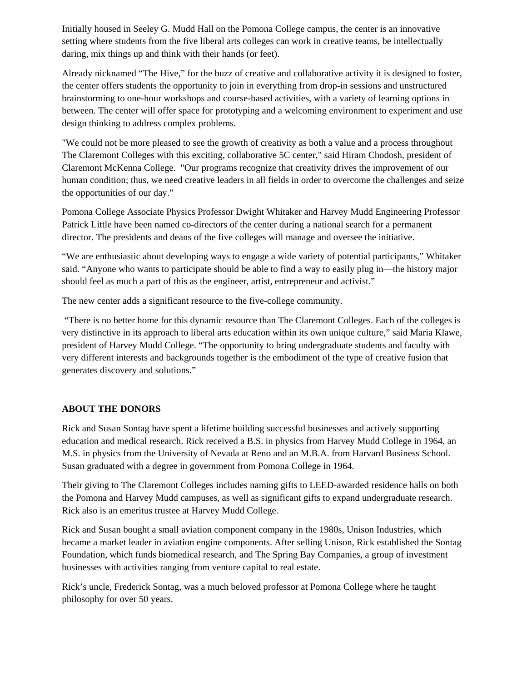Initially housed in Seeley G. Mudd Hall on the Pomona College campus, the center is an innovative setting where students from the five liberal arts colleges can work in creative teams, be intellectually daring, mix things up and think with their hands (or feet).

Already nicknamed "The Hive," for the buzz of creative and collaborative activity it is designed to foster, the center offers students the opportunity to join in everything from drop-in sessions and unstructured brainstorming to one-hour workshops and course-based activities, with a variety of learning options in between. The center will offer space for prototyping and a welcoming environment to experiment and use design thinking to address complex problems.

"We could not be more pleased to see the growth of creativity as both a value and a process throughout The Claremont Colleges with this exciting, collaborative 5C center," said Hiram Chodosh, president of Claremont McKenna College. "Our programs recognize that creativity drives the improvement of our human condition; thus, we need creative leaders in all fields in order to overcome the challenges and seize the opportunities of our day."

Pomona College Associate Physics Professor Dwight Whitaker and Harvey Mudd Engineering Professor Patrick Little have been named co-directors of the center during a national search for a permanent director. The presidents and deans of the five colleges will manage and oversee the initiative.

"We are enthusiastic about developing ways to engage a wide variety of potential participants," Whitaker said. "Anyone who wants to participate should be able to find a way to easily plug in—the history major should feel as much a part of this as the engineer, artist, entrepreneur and activist."

The new center adds a significant resource to the five-college community.

 "There is no better home for this dynamic resource than The Claremont Colleges. Each of the colleges is very distinctive in its approach to liberal arts education within its own unique culture," said Maria Klawe, president of Harvey Mudd College. "The opportunity to bring undergraduate students and faculty with very different interests and backgrounds together is the embodiment of the type of creative fusion that generates discovery and solutions."

## **ABOUT THE DONORS**

Rick and Susan Sontag have spent a lifetime building successful businesses and actively supporting education and medical research. Rick received a B.S. in physics from Harvey Mudd College in 1964, an M.S. in physics from the University of Nevada at Reno and an M.B.A. from Harvard Business School. Susan graduated with a degree in government from Pomona College in 1964.

Their giving to The Claremont Colleges includes naming gifts to LEED-awarded residence halls on both the Pomona and Harvey Mudd campuses, as well as significant gifts to expand undergraduate research. Rick also is an emeritus trustee at Harvey Mudd College.

Rick and Susan bought a small aviation component company in the 1980s, Unison Industries, which became a market leader in aviation engine components. After selling Unison, Rick established the Sontag Foundation, which funds biomedical research, and The Spring Bay Companies, a group of investment businesses with activities ranging from venture capital to real estate.

Rick's uncle, Frederick Sontag, was a much beloved professor at Pomona College where he taught philosophy for over 50 years.